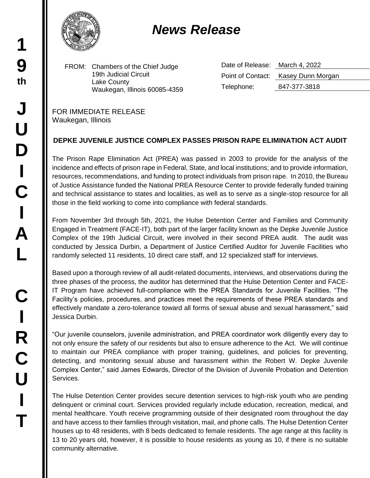## *News Release*

FROM: Chambers of the Chief Judge 19th Judicial Circuit Lake County Waukegan, Illinois 60085-4359 Date of Release: March 4, 2022 Point of Contact: Kasey Dunn Morgan Telephone: 847-377-3818

FOR IMMEDIATE RELEASE Waukegan, Illinois

## **DEPKE JUVENILE JUSTICE COMPLEX PASSES PRISON RAPE ELIMINATION ACT AUDIT**

The Prison Rape Elimination Act (PREA) was passed in 2003 to provide for the analysis of the incidence and effects of prison rape in Federal, State, and local institutions; and to provide information, resources, recommendations, and funding to protect individuals from prison rape. In 2010, the Bureau of Justice Assistance funded the National PREA Resource Center to provide federally funded training and technical assistance to states and localities, as well as to serve as a single-stop resource for all those in the field working to come into compliance with federal standards.

From November 3rd through 5th, 2021, the Hulse Detention Center and Families and Community Engaged in Treatment (FACE-IT), both part of the larger facility known as the Depke Juvenile Justice Complex of the 19th Judicial Circuit, were involved in their second PREA audit. The audit was conducted by Jessica Durbin, a Department of Justice Certified Auditor for Juvenile Facilities who randomly selected 11 residents, 10 direct care staff, and 12 specialized staff for interviews.

Based upon a thorough review of all audit-related documents, interviews, and observations during the three phases of the process, the auditor has determined that the Hulse Detention Center and FACE-IT Program have achieved full-compliance with the PREA Standards for Juvenile Facilities. "The Facility's policies, procedures, and practices meet the requirements of these PREA standards and effectively mandate a zero-tolerance toward all forms of sexual abuse and sexual harassment," said Jessica Durbin.

"Our juvenile counselors, juvenile administration, and PREA coordinator work diligently every day to not only ensure the safety of our residents but also to ensure adherence to the Act. We will continue to maintain our PREA compliance with proper training, guidelines, and policies for preventing, detecting, and monitoring sexual abuse and harassment within the Robert W. Depke Juvenile Complex Center," said James Edwards, Director of the Division of Juvenile Probation and Detention Services.

The Hulse Detention Center provides secure detention services to high-risk youth who are pending delinquent or criminal court. Services provided regularly include education, recreation, medical, and mental healthcare. Youth receive programming outside of their designated room throughout the day and have access to their families through visitation, mail, and phone calls. The Hulse Detention Center houses up to 48 residents, with 8 beds dedicated to female residents. The age range at this facility is 13 to 20 years old, however, it is possible to house residents as young as 10, if there is no suitable community alternative.